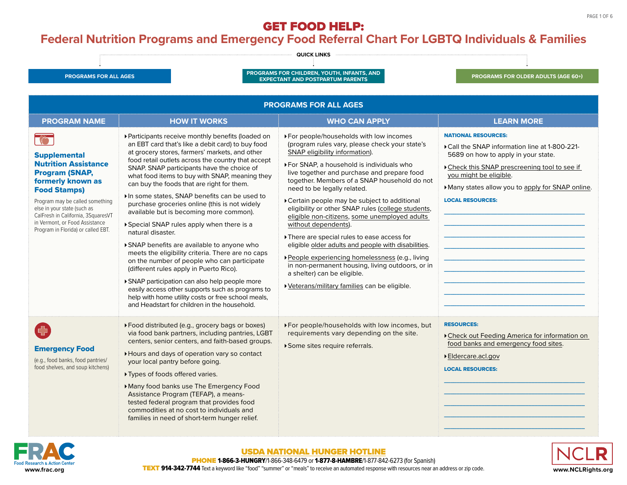#### <span id="page-0-0"></span>**Federal Nutrition Programs and Emergency Food Referral Chart For LGBTQ Individuals & Families**





#### [USDA NATIONAL HUNGER HOTLINE](https://www.fns.usda.gov/partnerships/national-hunger-clearinghouse)

PHONE 1-866-3-HUNGRY/1-866-348-6479 or 1-877-8-HAMBRE/1-877-842-6273 (for Spanish) [www.frac.org](http://www.frac.org) **WACLERY 914-342-7744** Text a keyword like "food" "summer" or "meals" to receive an automated response with resources near an address or zip code. **WACLERY WARTERY WARTERY ARE ARE ARE ARE ARE ARE ARE ARE ARE A**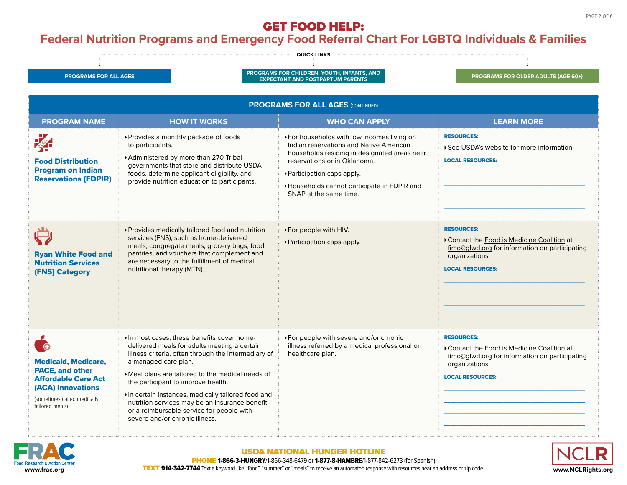#### **Federal Nutrition Programs and Emergency Food Referral Chart For LGBTQ Individuals & Families**





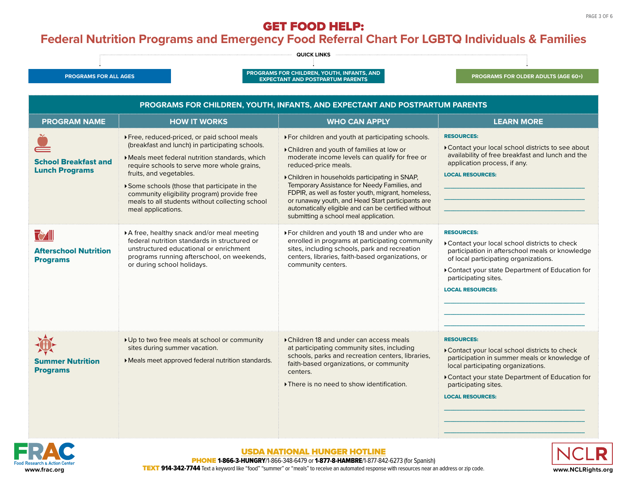## <span id="page-2-0"></span>**Federal Nutrition Programs and Emergency Food Referral Chart For LGBTQ Individuals & Families**



| <b>PROGRAM NAME</b>                                               | <b>HOW IT WORKS</b>                                                                                                                                                                                                                                                                                                                                                                               | <b>WHO CAN APPLY</b>                                                                                                                                                                                                                                                                                                                                                                                                                                                                 | <b>LEARN MORE</b>                                                                                                                                                                                                                                                  |
|-------------------------------------------------------------------|---------------------------------------------------------------------------------------------------------------------------------------------------------------------------------------------------------------------------------------------------------------------------------------------------------------------------------------------------------------------------------------------------|--------------------------------------------------------------------------------------------------------------------------------------------------------------------------------------------------------------------------------------------------------------------------------------------------------------------------------------------------------------------------------------------------------------------------------------------------------------------------------------|--------------------------------------------------------------------------------------------------------------------------------------------------------------------------------------------------------------------------------------------------------------------|
| <b>School Breakfast and</b><br><b>Lunch Programs</b>              | ▶ Free, reduced-priced, or paid school meals<br>(breakfast and lunch) in participating schools.<br>Meals meet federal nutrition standards, which<br>require schools to serve more whole grains,<br>fruits, and vegetables.<br>Some schools (those that participate in the<br>community eligibility program) provide free<br>meals to all students without collecting school<br>meal applications. | ▶ For children and youth at participating schools.<br>Children and youth of families at low or<br>moderate income levels can qualify for free or<br>reduced-price meals.<br>Children in households participating in SNAP,<br>Temporary Assistance for Needy Families, and<br>FDPIR, as well as foster youth, migrant, homeless,<br>or runaway youth, and Head Start participants are<br>automatically eligible and can be certified without<br>submitting a school meal application. | <b>RESOURCES:</b><br>Contact your local school districts to see about<br>availability of free breakfast and lunch and the<br>application process, if any.<br><b>LOCAL RESOURCES:</b>                                                                               |
| <b>T</b> y All<br><b>Afterschool Nutrition</b><br><b>Programs</b> | A free, healthy snack and/or meal meeting<br>federal nutrition standards in structured or<br>unstructured educational or enrichment<br>programs running afterschool, on weekends,<br>or during school holidays.                                                                                                                                                                                   | For children and youth 18 and under who are<br>enrolled in programs at participating community<br>sites, including schools, park and recreation<br>centers, libraries, faith-based organizations, or<br>community centers.                                                                                                                                                                                                                                                           | <b>RESOURCES:</b><br>Contact your local school districts to check<br>participation in afterschool meals or knowledge<br>of local participating organizations.<br>Contact your state Department of Education for<br>participating sites.<br><b>LOCAL RESOURCES:</b> |
| <b>Summer Nutrition</b><br><b>Programs</b>                        | ▶ Up to two free meals at school or community<br>sites during summer vacation.<br>Meals meet approved federal nutrition standards.                                                                                                                                                                                                                                                                | ▶ Children 18 and under can access meals<br>at participating community sites, including<br>schools, parks and recreation centers, libraries,<br>faith-based organizations, or community<br>centers.<br>There is no need to show identification.                                                                                                                                                                                                                                      | <b>RESOURCES:</b><br>Contact your local school districts to check<br>participation in summer meals or knowledge of<br>local participating organizations.<br>Contact your state Department of Education for<br>participating sites.<br><b>LOCAL RESOURCES:</b>      |



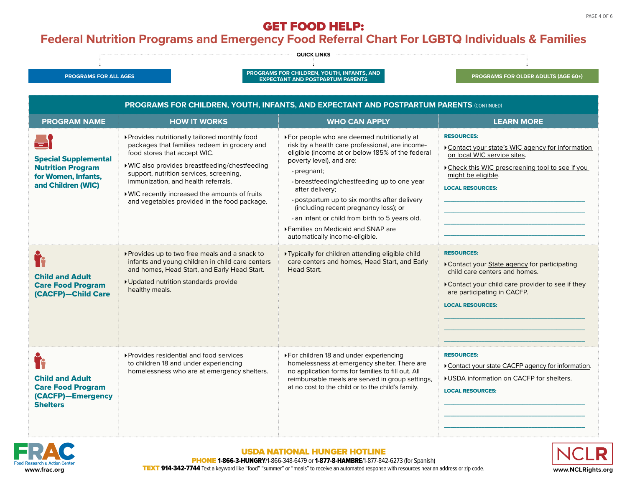# **Federal Nutrition Programs and Emergency Food Referral Chart For LGBTQ Individuals & Families**



| <b>PROGRAMS FOR CHILDREN, YOUTH, INFANTS, AND EXPECTANT AND POSTPARTUM PARENTS (CONTINUED)</b>                             |                                                                                                                                                                                                                                                                                                                                                                      |                                                                                                                                                                                                                                                                                                                                                                                                                                                                                       |                                                                                                                                                                                                                |  |
|----------------------------------------------------------------------------------------------------------------------------|----------------------------------------------------------------------------------------------------------------------------------------------------------------------------------------------------------------------------------------------------------------------------------------------------------------------------------------------------------------------|---------------------------------------------------------------------------------------------------------------------------------------------------------------------------------------------------------------------------------------------------------------------------------------------------------------------------------------------------------------------------------------------------------------------------------------------------------------------------------------|----------------------------------------------------------------------------------------------------------------------------------------------------------------------------------------------------------------|--|
| <b>PROGRAM NAME</b>                                                                                                        | <b>HOW IT WORKS</b>                                                                                                                                                                                                                                                                                                                                                  | <b>WHO CAN APPLY</b>                                                                                                                                                                                                                                                                                                                                                                                                                                                                  | <b>LEARN MORE</b>                                                                                                                                                                                              |  |
| $=$ $\overline{ }$<br><b>Special Supplemental</b><br><b>Nutrition Program</b><br>for Women, Infants,<br>and Children (WIC) | ▶ Provides nutritionally tailored monthly food<br>packages that families redeem in grocery and<br>food stores that accept WIC.<br>▶ WIC also provides breastfeeding/chestfeeding<br>support, nutrition services, screening,<br>immunization, and health referrals.<br>▶ WIC recently increased the amounts of fruits<br>and vegetables provided in the food package. | ▶ For people who are deemed nutritionally at<br>risk by a health care professional, are income-<br>eligible (income at or below 185% of the federal<br>poverty level), and are:<br>» pregnant;<br>» breastfeeding/chestfeeding up to one year<br>after delivery;<br>» postpartum up to six months after delivery<br>(including recent pregnancy loss); or<br>» an infant or child from birth to 5 years old.<br>▶ Families on Medicaid and SNAP are<br>automatically income-eligible. | <b>RESOURCES:</b><br>Contact your state's WIC agency for information<br>on local WIC service sites.<br>Check this WIC prescreening tool to see if you<br>might be eligible.<br><b>LOCAL RESOURCES:</b>         |  |
| <b>Child and Adult</b><br><b>Care Food Program</b><br>(CACFP)-Child Care                                                   | ▶ Provides up to two free meals and a snack to<br>infants and young children in child care centers<br>and homes, Head Start, and Early Head Start.<br>▶ Updated nutrition standards provide<br>healthy meals.                                                                                                                                                        | ▶ Typically for children attending eligible child<br>care centers and homes, Head Start, and Early<br>Head Start.                                                                                                                                                                                                                                                                                                                                                                     | <b>RESOURCES:</b><br>Contact your State agency for participating<br>child care centers and homes.<br>Contact your child care provider to see if they<br>are participating in CACFP.<br><b>LOCAL RESOURCES:</b> |  |
| <b>Child and Adult</b><br><b>Care Food Program</b><br>(CACFP)-Emergency<br><b>Shelters</b>                                 | ▶ Provides residential and food services<br>to children 18 and under experiencing<br>homelessness who are at emergency shelters.                                                                                                                                                                                                                                     | ▶ For children 18 and under experiencing<br>homelessness at emergency shelter. There are<br>no application forms for families to fill out. All<br>reimbursable meals are served in group settings,<br>at no cost to the child or to the child's family.                                                                                                                                                                                                                               | <b>RESOURCES:</b><br>Contact your state CACFP agency for information.<br>▶ USDA information on CACFP for shelters.<br><b>LOCAL RESOURCES:</b>                                                                  |  |

![](_page_3_Picture_5.jpeg)

#### [USDA NATIONAL HUNGER HOTLINE](https://www.fns.usda.gov/partnerships/national-hunger-clearinghouse)

![](_page_3_Picture_7.jpeg)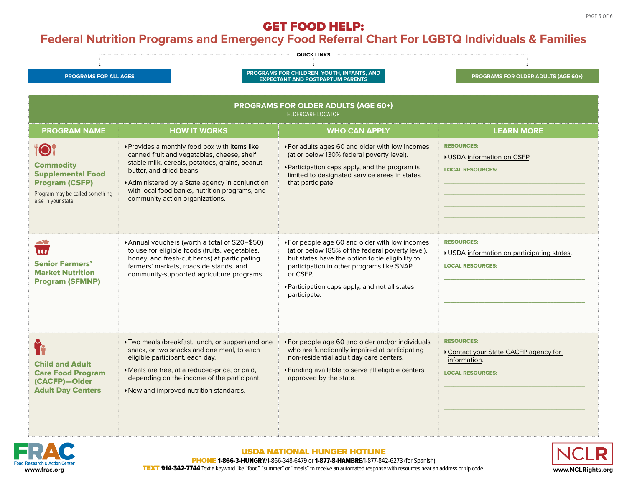# <span id="page-4-0"></span>**Federal Nutrition Programs and Emergency Food Referral Chart For LGBTQ Individuals & Families**

| <b>QUICK LINKS</b>                                                                                                                             |                                                                                                                                                                                                                                                                                                                 |                                                                                                                                                                                                                                                                                   |                                                                                                     |  |  |  |
|------------------------------------------------------------------------------------------------------------------------------------------------|-----------------------------------------------------------------------------------------------------------------------------------------------------------------------------------------------------------------------------------------------------------------------------------------------------------------|-----------------------------------------------------------------------------------------------------------------------------------------------------------------------------------------------------------------------------------------------------------------------------------|-----------------------------------------------------------------------------------------------------|--|--|--|
| <b>PROGRAMS FOR ALL AGES</b>                                                                                                                   |                                                                                                                                                                                                                                                                                                                 | PROGRAMS FOR CHILDREN, YOUTH, INFANTS, AND<br><b>EXPECTANT AND POSTPARTUM PARENTS</b>                                                                                                                                                                                             | <b>PROGRAMS FOR OLDER ADULTS (AGE 60+)</b>                                                          |  |  |  |
| <b>PROGRAMS FOR OLDER ADULTS (AGE 60+)</b><br><b>ELDERCARE LOCATOR</b>                                                                         |                                                                                                                                                                                                                                                                                                                 |                                                                                                                                                                                                                                                                                   |                                                                                                     |  |  |  |
| <b>PROGRAM NAME</b>                                                                                                                            | <b>HOW IT WORKS</b>                                                                                                                                                                                                                                                                                             | <b>WHO CAN APPLY</b>                                                                                                                                                                                                                                                              | <b>LEARN MORE</b>                                                                                   |  |  |  |
| <b>TO</b> I<br><b>Commodity</b><br><b>Supplemental Food</b><br><b>Program (CSFP)</b><br>Program may be called something<br>else in your state. | ▶ Provides a monthly food box with items like<br>canned fruit and vegetables, cheese, shelf<br>stable milk, cereals, potatoes, grains, peanut<br>butter, and dried beans.<br>Administered by a State agency in conjunction<br>with local food banks, nutrition programs, and<br>community action organizations. | ▶ For adults ages 60 and older with low incomes<br>(at or below 130% federal poverty level).<br>▶ Participation caps apply, and the program is<br>limited to designated service areas in states<br>that participate.                                                              | <b>RESOURCES:</b><br>▶ USDA information on CSFP.<br><b>LOCAL RESOURCES:</b>                         |  |  |  |
| $\overline{\mathbf{u}}$<br><b>Senior Farmers'</b><br><b>Market Nutrition</b><br><b>Program (SFMNP)</b>                                         | ▶ Annual vouchers (worth a total of \$20-\$50)<br>to use for eligible foods (fruits, vegetables,<br>honey, and fresh-cut herbs) at participating<br>farmers' markets, roadside stands, and<br>community-supported agriculture programs.                                                                         | ▶ For people age 60 and older with low incomes<br>(at or below 185% of the federal poverty level),<br>but states have the option to tie eligibility to<br>participation in other programs like SNAP<br>or CSFP.<br>▶ Participation caps apply, and not all states<br>participate. | <b>RESOURCES:</b><br>▶ USDA information on participating states.<br><b>LOCAL RESOURCES:</b>         |  |  |  |
| <b>Child and Adult</b><br><b>Care Food Program</b><br>(CACFP)-Older<br><b>Adult Day Centers</b>                                                | Two meals (breakfast, lunch, or supper) and one<br>snack, or two snacks and one meal, to each<br>eligible participant, each day.<br>Meals are free, at a reduced-price, or paid,<br>depending on the income of the participant.<br>New and improved nutrition standards.                                        | ▶ For people age 60 and older and/or individuals<br>who are functionally impaired at participating<br>non-residential adult day care centers.<br>▶ Funding available to serve all eligible centers<br>approved by the state.                                                      | <b>RESOURCES:</b><br>Contact your State CACFP agency for<br>information.<br><b>LOCAL RESOURCES:</b> |  |  |  |

![](_page_4_Picture_4.jpeg)

[USDA NATIONAL HUNGER HOTLINE](https://www.fns.usda.gov/partnerships/national-hunger-clearinghouse)

![](_page_4_Picture_6.jpeg)

**PHONE 1-866-3-HUNGRY**/1-866-348-6479 or **1-877-8-HAMBRE**/1-877-842-6273 (for Spanish) [www.frac.org](http://www.frac.org) **WACLERY 914-342-7744** Text a keyword like "food" "summer" or "meals" to receive an automated response with resources near an address or zip code. **WACLERY WARTERY WARTERY ARE ARE ARE ARE ARE ARE ARE ARE ARE A**